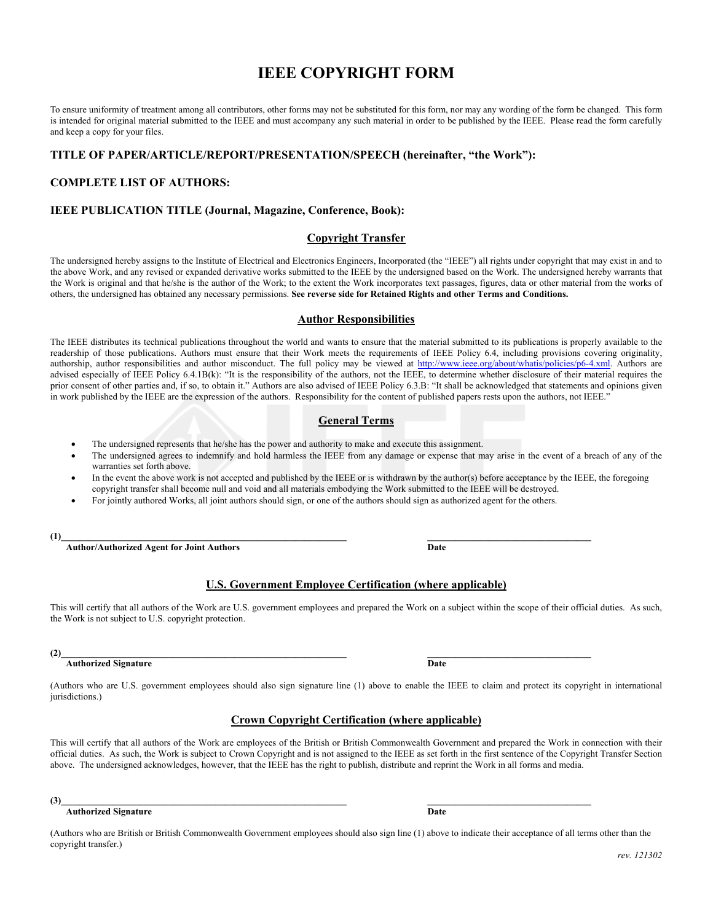# **IEEE COPYRIGHT FORM**

To ensure uniformity of treatment among all contributors, other forms may not be substituted for this form, nor may any wording of the form be changed. This form is intended for original material submitted to the IEEE and must accompany any such material in order to be published by the IEEE. Please read the form carefully and keep a copy for your files.

### **TITLE OF PAPER/ARTICLE/REPORT/PRESENTATION/SPEECH (hereinafter, "the Work"):**

## **COMPLETE LIST OF AUTHORS:**

#### **IEEE PUBLICATION TITLE (Journal, Magazine, Conference, Book):**

## **Copyright Transfer**

The undersigned hereby assigns to the Institute of Electrical and Electronics Engineers, Incorporated (the "IEEE") all rights under copyright that may exist in and to the above Work, and any revised or expanded derivative works submitted to the IEEE by the undersigned based on the Work. The undersigned hereby warrants that the Work is original and that he/she is the author of the Work; to the extent the Work incorporates text passages, figures, data or other material from the works of others, the undersigned has obtained any necessary permissions. **See reverse side for Retained Rights and other Terms and Conditions.**

#### **Author Responsibilities**

The IEEE distributes its technical publications throughout the world and wants to ensure that the material submitted to its publications is properly available to the readership of those publications. Authors must ensure that their Work meets the requirements of IEEE Policy 6.4, including provisions covering originality, authorship, author responsibilities and author misconduct. The full policy may be viewed at http://www.ieee.org/about/whatis/policies/p6-4.xml. Authors are advised especially of IEEE Policy 6.4.1B(k): "It is the responsibility of the authors, not the IEEE, to determine whether disclosure of their material requires the prior consent of other parties and, if so, to obtain it." Authors are also advised of IEEE Policy 6.3.B: "It shall be acknowledged that statements and opinions given in work published by the IEEE are the expression of the authors. Responsibility for the content of published papers rests upon the authors, not IEEE."

### **General Terms**

- The undersigned represents that he/she has the power and authority to make and execute this assignment.
- The undersigned agrees to indemnify and hold harmless the IEEE from any damage or expense that may arise in the event of a breach of any of the warranties set forth above.
- In the event the above work is not accepted and published by the IEEE or is withdrawn by the author(s) before acceptance by the IEEE, the foregoing copyright transfer shall become null and void and all materials embodying the Work submitted to the IEEE will be destroyed.
- For jointly authored Works, all joint authors should sign, or one of the authors should sign as authorized agent for the others.

 $(1)$ 

 **Author/Authorized Agent for Joint Authors Date** 

#### **U.S. Government Employee Certification (where applicable)**

This will certify that all authors of the Work are U.S. government employees and prepared the Work on a subject within the scope of their official duties. As such, the Work is not subject to U.S. copyright protection.

#### $(2)$

#### **Authorized Signature Date**

(Authors who are U.S. government employees should also sign signature line (1) above to enable the IEEE to claim and protect its copyright in international jurisdictions.)

#### **Crown Copyright Certification (where applicable)**

This will certify that all authors of the Work are employees of the British or British Commonwealth Government and prepared the Work in connection with their official duties. As such, the Work is subject to Crown Copyright and is not assigned to the IEEE as set forth in the first sentence of the Copyright Transfer Section above. The undersigned acknowledges, however, that the IEEE has the right to publish, distribute and reprint the Work in all forms and media.

#### **Authorized Signature Date**

(Authors who are British or British Commonwealth Government employees should also sign line (1) above to indicate their acceptance of all terms other than the copyright transfer.)